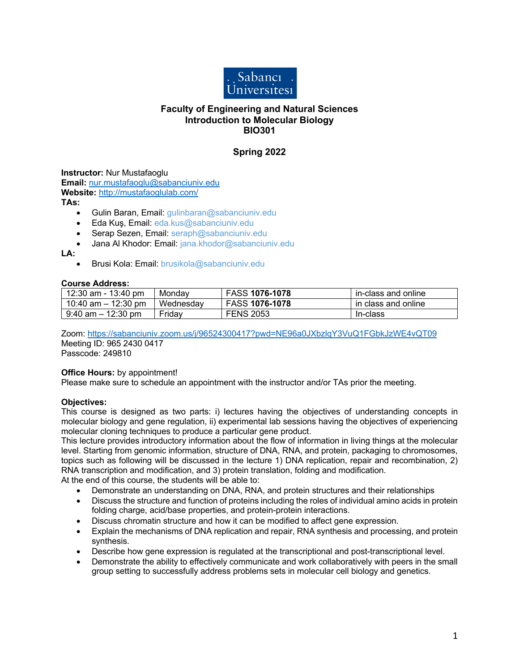

## **Faculty of Engineering and Natural Sciences Introduction to Molecular Biology BIO301**

# **Spring 2022**

**Instructor:** Nur Mustafaoglu **Email:** nur.mustafaoglu@sabanciuniv.edu

**Website:** http://mustafaoglulab.com/

**TAs:**

- Gulin Baran, Email: gulinbaran@sabanciuniv.edu
- Eda Kuş, Email: eda.kus@sabanciuniv.edu
- Serap Sezen, Email: seraph@sabanciuniv.edu
- Jana Al Khodor: Email: jana.khodor@sabanciuniv.edu

**LA:**

• Brusi Kola: Email: brusikola@sabanciuniv.edu

### **Course Address:**

| 12:30 am - 13:40 pm   | Mondav    | <b>FASS 1076-1078</b> | in-class and online |
|-----------------------|-----------|-----------------------|---------------------|
| 10:40 am $-$ 12:30 pm | Wednesdav | <b>FASS 1076-1078</b> | in class and online |
| $9:40$ am $-12:30$ pm | Fridav    | <b>FENS 2053</b>      | In-class            |

Zoom: https://sabanciuniv.zoom.us/j/96524300417?pwd=NE96a0JXbzlqY3VuQ1FGbkJzWE4vQT09 Meeting ID: 965 2430 0417

Passcode: 249810

## **Office Hours: by appointment!**

Please make sure to schedule an appointment with the instructor and/or TAs prior the meeting.

## **Objectives:**

This course is designed as two parts: i) lectures having the objectives of understanding concepts in molecular biology and gene regulation, ii) experimental lab sessions having the objectives of experiencing molecular cloning techniques to produce a particular gene product.

This lecture provides introductory information about the flow of information in living things at the molecular level. Starting from genomic information, structure of DNA, RNA, and protein, packaging to chromosomes, topics such as following will be discussed in the lecture 1) DNA replication, repair and recombination, 2) RNA transcription and modification, and 3) protein translation, folding and modification.

At the end of this course, the students will be able to:

- Demonstrate an understanding on DNA, RNA, and protein structures and their relationships
- Discuss the structure and function of proteins including the roles of individual amino acids in protein folding charge, acid/base properties, and protein-protein interactions.
- Discuss chromatin structure and how it can be modified to affect gene expression.
- Explain the mechanisms of DNA replication and repair, RNA synthesis and processing, and protein synthesis.
- Describe how gene expression is regulated at the transcriptional and post-transcriptional level.
- Demonstrate the ability to effectively communicate and work collaboratively with peers in the small group setting to successfully address problems sets in molecular cell biology and genetics.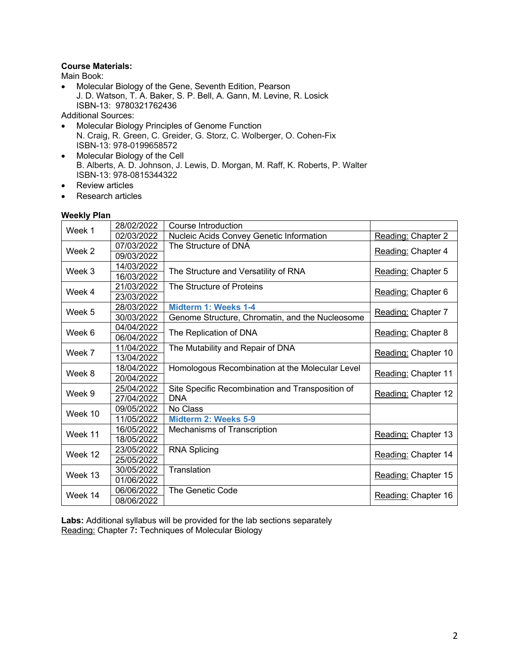## **Course Materials:**

Main Book:

• Molecular Biology of the Gene, Seventh Edition, Pearson J. D. Watson, T. A. Baker, S. P. Bell, A. Gann, M. Levine, R. Losick ISBN-13: 9780321762436

Additional Sources:

- Molecular Biology Principles of Genome Function N. Craig, R. Green, C. Greider, G. Storz, C. Wolberger, O. Cohen-Fix ISBN-13: 978-0199658572
- Molecular Biology of the Cell B. Alberts, A. D. Johnson, J. Lewis, D. Morgan, M. Raff, K. Roberts, P. Walter ISBN-13: 978-0815344322
- Review articles
- Research articles

### **Weekly Plan**

| Week 1  | 28/02/2022 | Course Introduction                              |                     |
|---------|------------|--------------------------------------------------|---------------------|
|         | 02/03/2022 | Nucleic Acids Convey Genetic Information         | Reading: Chapter 2  |
| Week 2  | 07/03/2022 | The Structure of DNA                             |                     |
|         | 09/03/2022 |                                                  | Reading: Chapter 4  |
| Week 3  | 14/03/2022 | The Structure and Versatility of RNA             | Reading: Chapter 5  |
|         | 16/03/2022 |                                                  |                     |
| Week 4  | 21/03/2022 | The Structure of Proteins                        | Reading: Chapter 6  |
|         | 23/03/2022 |                                                  |                     |
| Week 5  | 28/03/2022 | Midterm 1: Weeks 1-4                             | Reading: Chapter 7  |
|         | 30/03/2022 | Genome Structure, Chromatin, and the Nucleosome  |                     |
| Week 6  | 04/04/2022 | The Replication of DNA                           | Reading: Chapter 8  |
|         | 06/04/2022 |                                                  |                     |
| Week 7  | 11/04/2022 | The Mutability and Repair of DNA                 | Reading: Chapter 10 |
|         | 13/04/2022 |                                                  |                     |
| Week 8  | 18/04/2022 | Homologous Recombination at the Molecular Level  | Reading: Chapter 11 |
|         | 20/04/2022 |                                                  |                     |
| Week 9  | 25/04/2022 | Site Specific Recombination and Transposition of | Reading: Chapter 12 |
|         | 27/04/2022 | <b>DNA</b>                                       |                     |
| Week 10 | 09/05/2022 | No Class                                         |                     |
|         | 11/05/2022 | Midterm 2: Weeks 5-9                             |                     |
| Week 11 | 16/05/2022 | Mechanisms of Transcription                      | Reading: Chapter 13 |
|         | 18/05/2022 |                                                  |                     |
| Week 12 | 23/05/2022 | <b>RNA Splicing</b>                              | Reading: Chapter 14 |
|         | 25/05/2022 |                                                  |                     |
| Week 13 | 30/05/2022 | Translation                                      | Reading: Chapter 15 |
|         | 01/06/2022 |                                                  |                     |
| Week 14 | 06/06/2022 | The Genetic Code                                 | Reading: Chapter 16 |
|         | 08/06/2022 |                                                  |                     |

**Labs:** Additional syllabus will be provided for the lab sections separately Reading: Chapter 7**:** Techniques of Molecular Biology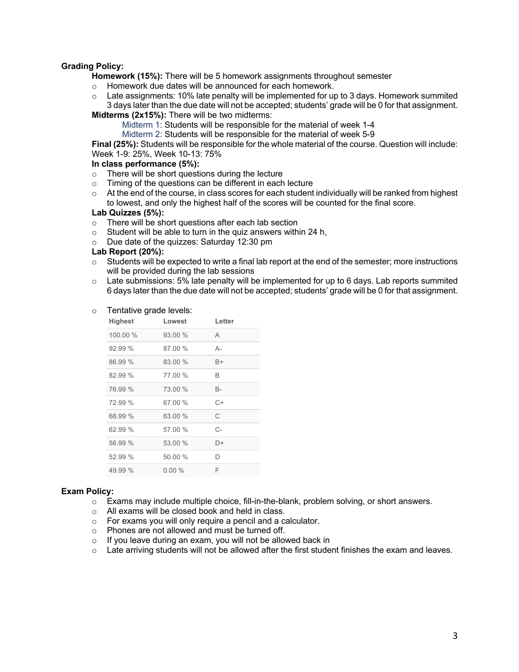## **Grading Policy:**

**Homework (15%):** There will be 5 homework assignments throughout semester

- o Homework due dates will be announced for each homework.
- $\circ$  Late assignments: 10% late penalty will be implemented for up to 3 days. Homework summited 3 days later than the due date will not be accepted; students' grade will be 0 for that assignment.

**Midterms (2x15%):** There will be two midterms:

Midterm 1: Students will be responsible for the material of week 1-4

Midterm 2: Students will be responsible for the material of week 5-9

**Final (25%):** Students will be responsible for the whole material of the course. Question will include: Week 1-9: 25%, Week 10-13: 75%

### **In class performance (5%):**

- o There will be short questions during the lecture
- o Timing of the questions can be different in each lecture
- $\circ$  At the end of the course, in class scores for each student individually will be ranked from highest to lowest, and only the highest half of the scores will be counted for the final score.

#### **Lab Quizzes (5%):**

- o There will be short questions after each lab section
- $\circ$  Student will be able to turn in the quiz answers within 24 h,
- o Due date of the quizzes: Saturday 12:30 pm

#### **Lab Report (20%):**

- o Students will be expected to write a final lab report at the end of the semester; more instructions will be provided during the lab sessions
- $\circ$  Late submissions: 5% late penalty will be implemented for up to 6 days. Lab reports summited 6 days later than the due date will not be accepted; students' grade will be 0 for that assignment.

#### o Tentative grade levels:

| Highest  | Lowest  | Letter |
|----------|---------|--------|
| 100.00 % | 93.00%  | Α      |
| 92.99%   | 87.00 % | А-     |
| 86.99 %  | 83.00 % | B+     |
| 82.99%   | 77.00 % | B      |
| 76.99 %  | 73.00 % | B-     |
| 72.99 %  | 67.00 % | C+     |
| 66.99 %  | 63.00 % | C      |
| 62.99%   | 57.00 % | С-     |
| 56.99 %  | 53.00 % | D+     |
| 52.99 %  | 50.00 % | D      |
| 49.99%   | 0.00%   | F      |

### **Exam Policy:**

- o Exams may include multiple choice, fill-in-the-blank, problem solving, or short answers.
- o All exams will be closed book and held in class.
- o For exams you will only require a pencil and a calculator.
- o Phones are not allowed and must be turned off.
- o If you leave during an exam, you will not be allowed back in
- $\circ$  Late arriving students will not be allowed after the first student finishes the exam and leaves.